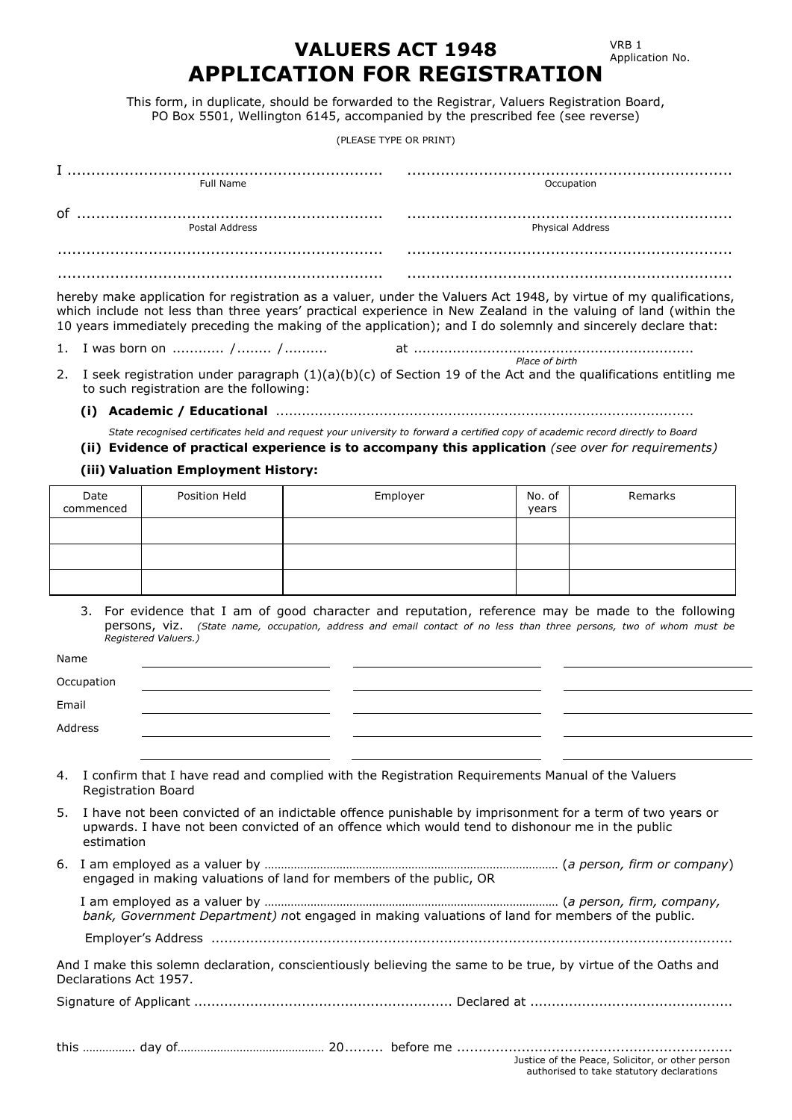VRB 1 Application No.

# **VALUERS ACT 1948 APPLICATION FOR REGISTRATION**

This form, in duplicate, should be forwarded to the Registrar, Valuers Registration Board, PO Box 5501, Wellington 6145, accompanied by the prescribed fee (see reverse)

(PLEASE TYPE OR PRINT)

| Full Name      | Occupation       |
|----------------|------------------|
|                |                  |
| of             |                  |
| Postal Address | Physical Address |
|                |                  |
|                |                  |
|                |                  |

hereby make application for registration as a valuer, under the Valuers Act 1948, by virtue of my qualifications, which include not less than three years' practical experience in New Zealand in the valuing of land (within the 10 years immediately preceding the making of the application); and I do solemnly and sincerely declare that:

- 1. I was born on ............ /........ /.......... at ................................................................. *Place of birth*
- 2. I seek registration under paragraph (1)(a)(b)(c) of Section 19 of the Act and the qualifications entitling me to such registration are the following:
	- **(i) Academic / Educational** .................................................................................................

*State recognised certificates held and request your university to forward a certified copy of academic record directly to Board*

**(ii) Evidence of practical experience is to accompany this application** *(see over for requirements)*

#### **(iii) Valuation Employment History:**

| Date<br>commenced | Position Held | Employer | No. of<br>years | Remarks |
|-------------------|---------------|----------|-----------------|---------|
|                   |               |          |                 |         |
|                   |               |          |                 |         |
|                   |               |          |                 |         |

3. For evidence that I am of good character and reputation, reference may be made to the following persons, viz. *(State name, occupation, address and email contact of no less than three persons, two of whom must be Registered Valuers.)*

| Name  |                           |                                                                                                                                                                                                                |  |
|-------|---------------------------|----------------------------------------------------------------------------------------------------------------------------------------------------------------------------------------------------------------|--|
|       | Occupation                |                                                                                                                                                                                                                |  |
| Email |                           |                                                                                                                                                                                                                |  |
|       | Address                   |                                                                                                                                                                                                                |  |
|       |                           |                                                                                                                                                                                                                |  |
|       | <b>Registration Board</b> | 4. I confirm that I have read and complied with the Registration Requirements Manual of the Valuers                                                                                                            |  |
|       |                           | 5. I have not been convicted of an indictable offence punishable by imprisonment for a term of two years or<br>unwarde. I have not been convicted of an effence which would tend to dishenour me in the public |  |

- upwards. I have not been convicted of an offence which would tend to dishonour me in the public estimation
- 6. I am employed as a valuer by ……………………………………………………………………………… (*a person, firm or company*) engaged in making valuations of land for members of the public, OR

| bank, Government Department) not engaged in making valuations of land for members of the public. |  |
|--------------------------------------------------------------------------------------------------|--|
|                                                                                                  |  |

Employer's Address .........................................................................................................................

And I make this solemn declaration, conscientiously believing the same to be true, by virtue of the Oaths and Declarations Act 1957.

Signature of Applicant ............................................................ Declared at ...............................................

this ……………. day of……………………………………… 20......... before me ................................................................ Justice of the Peace, Solicitor, or other person authorised to take statutory declarations